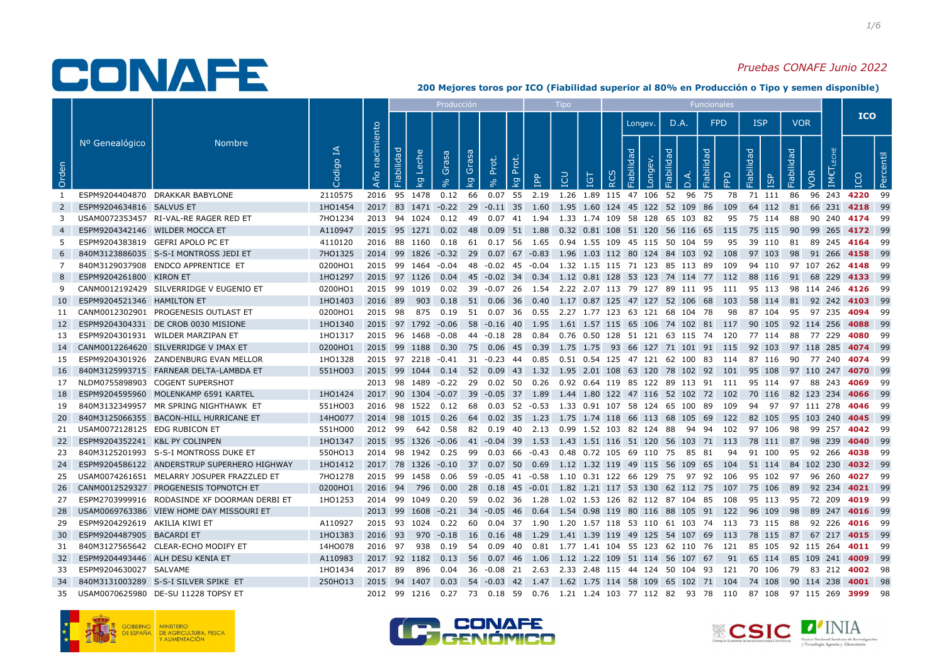### Pruebas CONAFE Junio 2022

|                |                                |                                              |                    |                   |              |                                                                                   | Producción                       |                   |          |                                                                | <b>Tipo</b> |            |                  |                    |            |                                    | Funcionales |    |                                                                                                        |            |                           |                       |           |
|----------------|--------------------------------|----------------------------------------------|--------------------|-------------------|--------------|-----------------------------------------------------------------------------------|----------------------------------|-------------------|----------|----------------------------------------------------------------|-------------|------------|------------------|--------------------|------------|------------------------------------|-------------|----|--------------------------------------------------------------------------------------------------------|------------|---------------------------|-----------------------|-----------|
|                |                                |                                              |                    |                   |              |                                                                                   |                                  |                   |          |                                                                |             |            |                  | Longev.            |            | D.A.                               | <b>FPD</b>  |    | <b>ISP</b>                                                                                             | <b>VOR</b> |                           | <b>ICO</b>            |           |
| Orden          | Nº Genealógico                 | <b>Nombre</b>                                | $\preceq$<br>odigo | nacimiento<br>Año | Fiabilidad   | Leche<br>Grasa<br>$\overline{5}$                                                  | Grasa<br>$\overline{\mathsf{g}}$ | Prot.<br>$\infty$ | kg Prot. | <b>AdI</b>                                                     | LCU         | <b>IGT</b> | $\tilde{\alpha}$ | Fiabilidad<br>Long | Fiabilidad | $\cap$                             | Fiabilidad  | 윤  | Fiabilidad<br>ISP                                                                                      | Fiabilidad | VOR                       |                       | Percentil |
| 1              |                                | ESPM9204404870 DRAKKAR BABYLONE              | 2110575            |                   |              | 2016 95 1478 0.12 66 0.07 55 2.19 1.26 1.89 115 47 106 52                         |                                  |                   |          |                                                                |             |            |                  |                    |            | 96 75                              |             | 78 | 71 111                                                                                                 | 86         |                           | 96 243 4220 99        |           |
| $\overline{2}$ | ESPM9204634816 SALVUS ET       |                                              | 1H01454            |                   |              | 2017 83 1471 -0.22 29 -0.11 35 1.60                                               |                                  |                   |          |                                                                |             |            |                  |                    |            | 1.95 1.60 124 45 122 52 109 86 109 |             |    | 64 112                                                                                                 | 81         |                           | 66 231 4218 99        |           |
| 3              |                                | USAM0072353457 RI-VAL-RE RAGER RED ET        | 7HO1234            |                   |              | 2013 94 1024 0.12 49 0.07 41 1.94 1.33 1.74 109 58 128 65 103 82                  |                                  |                   |          |                                                                |             |            |                  |                    |            |                                    |             | 95 | 75 114                                                                                                 | 88         |                           | 90 240 <b>4174</b> 99 |           |
| -4             | ESPM9204342146 WILDER MOCCA ET |                                              | A110947            |                   |              | 2015 95 1271 0.02 48 0.09 51 1.88 0.32 0.81 108 51 120 56 116 65 115              |                                  |                   |          |                                                                |             |            |                  |                    |            |                                    |             |    | 75 115                                                                                                 | 90         | 99 265 4172 99            |                       |           |
| 5.             |                                | ESPM9204383819 GEFRI APOLO PC ET             | 4110120            |                   |              |                                                                                   |                                  |                   |          |                                                                |             |            |                  |                    |            |                                    |             |    | 2016 88 1160 0.18 61 0.17 56 1.65 0.94 1.55 109 45 115 50 104 59 95 39 110 81 89 245 4164 99           |            |                           |                       |           |
| 6              |                                | 840M3123886035 S-S-I MONTROSS JEDI ET        | 7HO1325            |                   |              | 2014 99 1826 -0.32 29 0.07 67 -0.83 1.96 1.03 112 80 124 84 103 92 108            |                                  |                   |          |                                                                |             |            |                  |                    |            |                                    |             |    | 97 103 98 91 266 <b>4158</b> 99                                                                        |            |                           |                       |           |
| 7              |                                | 840M3129037908 ENDCO APPRENTICE ET           | 0200HO1            |                   |              | 2015 99 1464 -0.04 48 -0.02 45 -0.04 1.32 1.15 115 71 123 85 113 89 109           |                                  |                   |          |                                                                |             |            |                  |                    |            |                                    |             |    | 94 110 97 107 262 <b>4148</b> 99                                                                       |            |                           |                       |           |
| 8              | ESPM9204261800 KIRON ET        |                                              | 1HO1297            |                   |              |                                                                                   |                                  |                   |          |                                                                |             |            |                  |                    |            |                                    |             |    | 2015 97 1126 0.04 45 -0.02 34 0.34 1.12 0.81 128 53 123 74 114 77 112 88 116                           |            | 91 68 229 4133 99         |                       |           |
| 9              |                                | CANM0012192429 SILVERRIDGE V EUGENIO ET      | 0200HO1            |                   |              |                                                                                   |                                  |                   |          |                                                                |             |            |                  |                    |            |                                    |             |    | 2015 99 1019 0.02 39 -0.07 26 1.54 2.22 2.07 113 79 127 89 111 95 111 95 113 98 114 246 4126 99        |            |                           |                       |           |
| <b>10</b>      | ESPM9204521346 HAMILTON ET     |                                              | 1HO1403            |                   |              | 2016 89 903 0.18 51 0.06 36 0.40 1.17 0.87 125 47 127 52 106 68 103               |                                  |                   |          |                                                                |             |            |                  |                    |            |                                    |             |    | 58 114 81 92 242 4103 99                                                                               |            |                           |                       |           |
|                |                                | 11 CANM0012302901 PROGENESIS OUTLAST ET      | 0200HO1            | 2015 98           |              | 875   0.19   51   0.07   36   0.55   2.27   1.77   123   63   121   68   104   78 |                                  |                   |          |                                                                |             |            |                  |                    |            |                                    |             |    | 98 87 104                                                                                              |            | 95 97 235 <b>4094</b> 99  |                       |           |
| <b>12</b>      |                                | ESPM9204304331 DE CROB 0030 MISIONE          | 1HO1340            |                   |              | 2015 97 1792 -0.06                                                                |                                  |                   |          |                                                                |             |            |                  |                    |            |                                    |             |    | 58 -0.16 40 1.95 1.61 1.57 115 65 106 74 102 81 117 90 105                                             |            | 92 114 256                | 4088 99               |           |
| 13             |                                | ESPM9204301931 WILDER MARZIPAN ET            | 1HO1317            |                   |              |                                                                                   |                                  |                   |          |                                                                |             |            |                  |                    |            |                                    |             |    | 2015 96 1468 -0.08 44 -0.18 28 0.84 0.76 0.50 128 51 121 63 115 74 120 77 114 88 77 229 <b>4080</b> 99 |            |                           |                       |           |
|                |                                | 14 CANM0012264620 SILVERRIDGE V IMAX ET      | 0200HO1            |                   |              |                                                                                   |                                  |                   |          |                                                                |             |            |                  |                    |            |                                    |             |    | 2015 99 1188 0.30 75 0.06 45 0.39 1.75 1.75 93 66 127 71 101 91 115 92 103 97 118 285 4074 99          |            |                           |                       |           |
| 15             |                                | ESPM9204301926 ZANDENBURG EVAN MELLOR        | 1HO1328            |                   |              |                                                                                   |                                  |                   |          |                                                                |             |            |                  |                    |            |                                    |             |    | 2015 97 2218 -0.41 31 -0.23 44 0.85 0.51 0.54 125 47 121 62 100 83 114 87 116 90 77 240 <b>4074</b> 99 |            |                           |                       |           |
| 16 I           |                                | 840M3125993715 FARNEAR DELTA-LAMBDA ET       | 551HO03            |                   |              |                                                                                   |                                  |                   |          |                                                                |             |            |                  |                    |            |                                    |             |    | 2015 99 1044 0.14 52 0.09 43 1.32 1.95 2.01 108 63 120 78 102 92 101 95 108                            |            | 97 110 247 4070 99        |                       |           |
|                |                                | 17 NLDM0755898903 COGENT SUPERSHOT           |                    |                   |              |                                                                                   |                                  |                   |          |                                                                |             |            |                  |                    |            |                                    |             |    | 2013 98 1489 -0.22 29 0.02 50 0.26 0.92 0.64 119 85 122 89 113 91 111 95 114 97 88 243 4069 99         |            |                           |                       |           |
| 18             |                                | ESPM9204595960 MOLENKAMP 6591 KARTEL         | 1HO1424            |                   |              |                                                                                   |                                  |                   |          |                                                                |             |            |                  |                    |            |                                    |             |    | 2017 90 1304 -0.07 39 -0.05 37 1.89 1.44 1.80 122 47 116 52 102 72 102 70 116 82 123 234 4066 99       |            |                           |                       |           |
| 19             |                                | 840M3132349957 MR SPRING NIGHTHAWK ET        | 551HO03            |                   |              | 2016 98 1522 0.12 68 0.03 52 -0.53 1.33 0.91 107 58 124 65 100 89 109             |                                  |                   |          |                                                                |             |            |                  |                    |            |                                    |             |    | 94 97 97 111 278 <b>4046</b> 99                                                                        |            |                           |                       |           |
| <b>20</b>      |                                | 840M3125066355 BACON-HILL HURRICANE ET       | 14HO077            |                   |              | 2014 98 1015 0.26 64 0.02 35 1.23 1.75 1.74 118 66 113 68 105 69 122              |                                  |                   |          |                                                                |             |            |                  |                    |            |                                    |             |    | 82 105                                                                                                 |            | 95 103 240 4045 99        |                       |           |
| 21             | USAM0072128125 EDG RUBICON ET  |                                              | 551HO00            |                   |              |                                                                                   |                                  |                   |          |                                                                |             |            |                  |                    |            |                                    |             |    | 2012 99 642 0.58 82 0.19 40 2.13 0.99 1.52 103 82 124 88 94 94 102 97 106 98 99 257 <b>4042</b> 99     |            |                           |                       |           |
| 22             | ESPM9204352241 K&L PY COLINPEN |                                              | 1HO1347            |                   |              |                                                                                   |                                  |                   |          |                                                                |             |            |                  |                    |            |                                    |             |    | 2015 95 1326 -0.06 41 -0.04 39 1.53 1.43 1.51 116 51 120 56 103 71 113 78 111                          |            | 87 98 239                 | 4040 99               |           |
| -23            |                                | 840M3125201993 S-S-I MONTROSS DUKE ET        | 550HO13            |                   |              | 2014 98 1942 0.25 99 0.03 66 -0.43 0.48 0.72 105 69 110 75 85 81                  |                                  |                   |          |                                                                |             |            |                  |                    |            |                                    |             |    | 94 91 100                                                                                              |            | 95 92 266 <b>4038</b> 99  |                       |           |
| -24            |                                | ESPM9204586122 ANDERSTRUP SUPERHERO HIGHWAY  | 1H01412            |                   |              |                                                                                   |                                  |                   |          |                                                                |             |            |                  |                    |            |                                    |             |    | 2017 78 1326 -0.10 37 0.07 50 0.69 1.12 1.32 119 49 115 56 109 65 104 51 114                           |            | 84 102 230                | 4032 99               |           |
| 25             |                                | USAM0074261651 MELARRY JOSUPER FRAZZLED ET   | 7HO1278            |                   |              | 2015 99 1458 0.06 59 -0.05 41 -0.58 1.10 0.31 122 66 129 75 97 92 106             |                                  |                   |          |                                                                |             |            |                  |                    |            |                                    |             |    | 95 102 97 96 260                                                                                       |            |                           | 4027 99               |           |
| -26            |                                | CANM0012529327 PROGENESIS TOPNOTCH ET        | 0200HO1            |                   | 2016 94 796  | 0.00                                                                              |                                  |                   |          |                                                                |             |            |                  |                    |            |                                    |             |    | 28  0.18  45  -0.01  1.82  1.21  117  53  130  62  112  75  107  75  106                               | - 89       |                           | 92 234 <b>4021</b> 99 |           |
| 27             |                                | ESPM2703999916 RODASINDE XF DOORMAN DERBI ET | 1HO1253            |                   |              | 2014 99 1049 0.20 59 0.02 36 1.28 1.02 1.53 126 82 112 87 104 85 108              |                                  |                   |          |                                                                |             |            |                  |                    |            |                                    |             |    | 95 113                                                                                                 |            | 95 72 209 <b>4019</b> 99  |                       |           |
| 28             |                                | USAM0069763386 VIEW HOME DAY MISSOURI ET     |                    |                   |              | 2013 99 1608 -0.21                                                                |                                  |                   |          | 34 -0.05 46 0.64 1.54 0.98 119 80 116 88 105 91 122            |             |            |                  |                    |            |                                    |             |    | 96 109                                                                                                 | - 98       |                           | 89 247 4016 99        |           |
| 29             | ESPM9204292619 AKILIA KIWI ET  |                                              | A110927            |                   |              |                                                                                   |                                  |                   |          |                                                                |             |            |                  |                    |            |                                    |             |    | 2015 93 1024 0.22 60 0.04 37 1.90 1.20 1.57 118 53 110 61 103 74 113 73 115                            | 88         |                           | 92 226 <b>4016</b> 99 |           |
| 30             | ESPM9204487905 BACARDI ET      |                                              | 1HO1383            |                   |              | 2016 93 970 -0.18                                                                 |                                  |                   |          | 16  0.16  48  1.29  1.41  1.39  119  49  125  54  107  69  113 |             |            |                  |                    |            |                                    |             |    | 78 115                                                                                                 |            | 87 67 217 <b>4015</b> 99  |                       |           |
| 31             |                                | 840M3127565642 CLEAR-ECHO MODIFY ET          | 14HO078            |                   |              |                                                                                   |                                  |                   |          |                                                                |             |            |                  |                    |            |                                    |             |    | 2016 97 938 0.19 54 0.09 40 0.81 1.77 1.41 104 55 123 62 110 76 121 85 105                             |            | 92 115 264 <b>4011</b> 99 |                       |           |
| 32             |                                | ESPM9204493446 ALH DESU KENIA ET             | A110983            |                   | 2017 92 1182 |                                                                                   |                                  |                   |          | 0.13 56 0.07 46 1.06 1.12 1.22 109 51 114 56 107 67            |             |            |                  |                    |            |                                    |             |    | 91 65 114                                                                                              |            | 85 109 241 4009 99        |                       |           |
| 33             | ESPM9204630027 SALVAME         |                                              | 1HO1434            | 2017 89           |              | 896<br>0.04                                                                       |                                  |                   |          |                                                                |             |            |                  |                    |            |                                    |             |    | 36 -0.08 21 2.63 2.33 2.48 115 44 124 50 104 93 121 70 106                                             |            | 79 83 212 <b>4002</b> 98  |                       |           |
| -34            |                                | 840M3131003289 S-S-I SILVER SPIKE ET         | 250HO13            |                   |              |                                                                                   |                                  |                   |          |                                                                |             |            |                  |                    |            |                                    |             |    | 2015 94 1407 0.03 54 -0.03 42 1.47 1.62 1.75 114 58 109 65 102 71 104 74 108                           |            | 90 114 238 <b>4001</b> 98 |                       |           |
| 35             |                                | USAM0070625980 DE-SU 11228 TOPSY ET          |                    |                   |              |                                                                                   |                                  |                   |          |                                                                |             |            |                  |                    |            |                                    |             |    | 2012 99 1216 0.27 73 0.18 59 0.76 1.21 1.24 103 77 112 82 93 78 110 87 108 97 115 269 <b>3999</b> 98   |            |                           |                       |           |





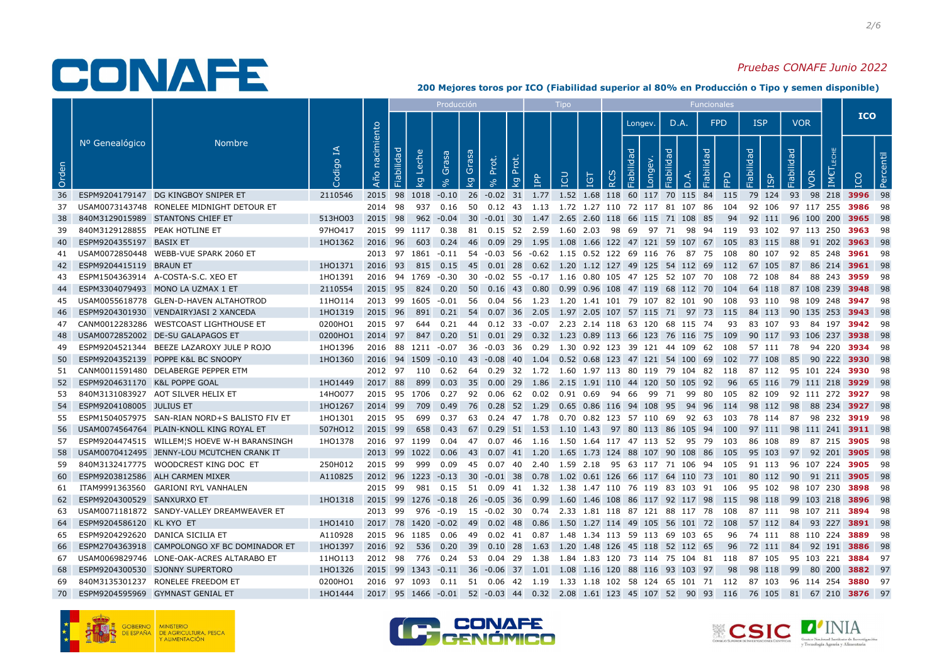### Pruebas CONAFE Junio 2022

|       |                                |                                               |                       |                   |                    |                         | Producción |             |                                                  |          |            | Tipo       |   |          |                    |            |                                                                                                       | <b>Funcionales</b> |      |                         |            |            |                  |                                  |           |
|-------|--------------------------------|-----------------------------------------------|-----------------------|-------------------|--------------------|-------------------------|------------|-------------|--------------------------------------------------|----------|------------|------------|---|----------|--------------------|------------|-------------------------------------------------------------------------------------------------------|--------------------|------|-------------------------|------------|------------|------------------|----------------------------------|-----------|
|       |                                |                                               |                       |                   |                    |                         |            |             |                                                  |          |            |            |   |          | Longev.            |            | D.A.                                                                                                  | <b>FPD</b>         |      | <b>ISP</b>              |            | <b>VOR</b> |                  | <b>ICO</b>                       |           |
| Orden | Nº Genealógico                 | <b>Nombre</b>                                 | $\mathbb{E}$<br>odigo | nacimiento<br>Año | Fiabilidad         | Leche<br>$\overline{g}$ | Grasa      | Grasa<br>kg | Prot.<br>9%                                      | kg Prot. | <b>AdI</b> | <b>POI</b> | 5 | $\alpha$ | Fiabilidad<br>Long | Fiabilidad | $\bigcap$                                                                                             | Fiabilidad         | FPD  | Fiabilidad<br><b>GP</b> | Fiabilidad | VOR        | IM€ <sup>-</sup> |                                  | Percentil |
| 36    |                                | ESPM9204179147 DG KINGBOY SNIPER ET           | 2110546               |                   | 2015 98 1018 -0.10 |                         |            |             |                                                  |          |            |            |   |          |                    |            | 26 -0.02 31 1.77 1.52 1.68 118 60 117 70 115 84 115                                                   |                    |      | 79 124                  | 93         |            |                  | 98 218 3996 98                   |           |
| 37    |                                | USAM0073143748 RONELEE MIDNIGHT DETOUR ET     |                       | 2014 98           |                    |                         |            |             |                                                  |          |            |            |   |          |                    |            | 937  0.16  50  0.12  43  1.13  1.72  1.27  110  72  117  81  107  86  104  92  106                    |                    |      |                         |            |            |                  | 97 117 255 <b>3986</b> 98        |           |
| -38   |                                | 840M3129015989 STANTONS CHIEF ET              | 513HO03               | 2015 98           |                    |                         | 962 -0.04  |             |                                                  |          |            |            |   |          |                    |            | 30 -0.01 30 1.47 2.65 2.60 118 66 115 71 108 85                                                       |                    | -94  | 92 111                  |            |            | 96 100 200       | 3965 98                          |           |
| 39    | 840M3129128855 PEAK HOTLINE ET |                                               | 97H0417               |                   |                    |                         |            |             |                                                  |          |            |            |   |          |                    |            | 2015 99 1117 0.38 81 0.15 52 2.59 1.60 2.03 98 69 97 71 98 94 119 93 102 97 113 250 3963 98           |                    |      |                         |            |            |                  |                                  |           |
| 40    | ESPM9204355197 BASIX ET        |                                               | 1HO1362               | 2016 96           |                    |                         |            |             |                                                  |          |            |            |   |          |                    |            | 603  0.24  46  0.09  29  1.95  1.08  1.66  122  47  121  59  107  67  105                             |                    |      | 83 115                  | - 88       |            |                  | 91 202 3963 98                   |           |
| 41    |                                | USAM0072850448 WEBB-VUE SPARK 2060 ET         |                       |                   |                    |                         |            |             |                                                  |          |            |            |   |          |                    |            | 2013 97 1861 -0.11 54 -0.03 56 -0.62 1.15 0.52 122 69 116 76 87 75 108                                |                    |      | 80 107                  |            |            |                  | 92 85 248 <b>3961</b> 98         |           |
| 42    | ESPM9204415119 BRAUN ET        |                                               | 1H01371               | 2016 93           |                    |                         |            |             |                                                  |          |            |            |   |          |                    |            | 815  0.15  45  0.01  28  0.62  1.20  1.12  127  49  125  54  112  69  112  67  105                    |                    |      |                         | 87         |            |                  | 86 214 3961 98                   |           |
| 43    |                                | ESPM1504363914 A-COSTA-S.C. XEO ET            | 1H01391               |                   | 2016 94 1769 -0.30 |                         |            |             |                                                  |          |            |            |   |          |                    |            | 30 -0.02 55 -0.17 1.16 0.80 105 47 125 52 107 70 108                                                  |                    |      | 72 108                  | 84         |            |                  | 88 243 <b>3959</b> 98            |           |
| 44    |                                | ESPM3304079493 MONO LA UZMAX 1 ET             | 2110554               |                   | 2015 95 824 0.20   |                         |            |             |                                                  |          |            |            |   |          |                    |            | 50  0.16  43  0.80  0.99  0.96  108  47  119  68  112  70  104                                        |                    |      | 64 118                  |            |            |                  | 87 108 239 <b>3948</b> 98        |           |
| 45    |                                | USAM0055618778 GLEN-D-HAVEN ALTAHOTROD        | 11HO114               |                   | 2013 99 1605 -0.01 |                         |            |             |                                                  |          |            |            |   |          |                    |            | 56  0.04  56  1.23  1.20  1.41  101  79  107  82  101  90  108                                        |                    |      | 93 110                  |            |            |                  | 98 109 248 <b>3947</b> 98        |           |
| 46    |                                | ESPM9204301930 VENDAIRYJASI 2 XANCEDA         | 1HO1319               | 2015 96           |                    | 891                     | 0.21       |             |                                                  |          |            |            |   |          |                    |            | 54  0.07  36  2.05  1.97  2.05  107  57  115  71  97  73  115                                         |                    |      | 84 113                  |            |            |                  | 90 135 253 3943 98               |           |
| 47    |                                | CANM0012283286 WESTCOAST LIGHTHOUSE ET        | 0200HO1               | 2015 97           |                    | 644                     |            |             |                                                  |          |            |            |   |          |                    |            | 0.21 44 0.12 33 -0.07 2.23 2.14 118 63 120 68 115 74                                                  |                    | 93   | 83 107                  |            |            |                  | 93 84 197 <b>3942</b> 98         |           |
| 48    |                                | USAM0072852002 DE-SU GALAPAGOS ET             | 0200HO1               |                   |                    |                         |            |             |                                                  |          |            |            |   |          |                    |            | 2014 97 847 0.20 51 0.01 29 0.32 1.23 0.89 113 66 123 76 116 75 109                                   |                    |      |                         |            |            |                  | 90 117 93 106 237 <b>3938</b> 98 |           |
| 49    |                                | ESPM9204521344 BEEZE LAZAROXY JULE P ROJO     | 1HO1396               |                   |                    |                         |            |             |                                                  |          |            |            |   |          |                    |            | 2016 88 1211 -0.07 36 -0.03 36 0.29 1.30 0.92 123 39 121 44 109 62 108                                |                    |      |                         |            |            |                  | 57 111 78 94 220 <b>3934</b> 98  |           |
| 50    |                                | ESPM9204352139 POPPE K&L BC SNOOPY            | 1HO1360               |                   |                    |                         |            |             |                                                  |          |            |            |   |          |                    |            | 2016 94 1509 -0.10 43 -0.08 40 1.04 0.52 0.68 123 47 121 54 100 69 102 77 108                         |                    |      |                         | 85         |            |                  | 90 222 3930 98                   |           |
| 51    |                                | CANM0011591480 DELABERGE PEPPER ETM           |                       |                   | 2012 97 110        |                         | 0.62       |             |                                                  |          |            |            |   |          |                    |            | 64  0.29  32  1.72  1.60  1.97  113  80  119  79  104  82  118                                        |                    |      |                         |            |            |                  | 87 112 95 101 224 3930 98        |           |
| 52    | ESPM9204631170 K&L POPPE GOAL  |                                               | 1HO1449               | 2017 88           |                    |                         |            |             |                                                  |          |            |            |   |          |                    |            | 899 0.03 35 0.00 29 1.86 2.15 1.91 110 44 120 50 105 92  96  65 116  79 111 218 <b>3929</b> 98        |                    |      |                         |            |            |                  |                                  |           |
| 53    |                                | 840M3131083927 AOT SILVER HELIX ET            | 14HO077               |                   | 2015 95 1706       |                         | 0.27       |             |                                                  |          |            |            |   |          |                    |            | 92  0.06  62  0.02  0.91  0.69  94  66  99  71  99  80  105                                           |                    |      | 82 109                  |            |            |                  | 92 111 272 <b>3927</b> 98        |           |
| 54    | ESPM9204108005 JULIUS ET       |                                               | 1HO1267               | 2014 99           |                    | 709                     | 0.49       |             | 76 0.28 52 1.29 0.65 0.86 116 94 108 95          |          |            |            |   |          |                    |            |                                                                                                       |                    |      | 94 96 114 98 112        | 98         |            |                  | 88 234 3927 98                   |           |
| 55    |                                | ESPM1504057975 SAN-RIAN NORD+S BALISTO FIV ET | 1HO1301               | 2015 95           |                    | 699                     | 0.37       |             | 63  0.24  47  1.78  0.70  0.82  123  57  110  69 |          |            |            |   |          |                    |            | 92 63 103                                                                                             |                    |      | 78 114                  |            |            |                  | 87 98 232 <b>3919</b> 98         |           |
| 56    |                                | USAM0074564764 PLAIN-KNOLL KING ROYAL ET      | 507HO12               | 2015 99           |                    |                         |            |             |                                                  |          |            |            |   |          |                    |            | 658  0.43  67  0.29  51  1.53  1.10  1.43  97  80  113  86  105  94  100  97  111                     |                    |      |                         |            |            |                  | 98 111 241 <b>3911</b> 98        |           |
| 57    |                                | ESPM9204474515 WILLEM'S HOEVE W-H BARANSINGH  | 1H01378               |                   |                    |                         |            |             |                                                  |          |            |            |   |          |                    |            | 2016 97 1199 0.04 47 0.07 46 1.16 1.50 1.64 117 47 113 52 95 79 103                                   |                    |      | 86 108                  |            |            |                  | 89 87 215 <b>3905</b> 98         |           |
| 58    |                                | USAM0070412495 JENNY-LOU MCUTCHEN CRANK IT    |                       |                   | 2013 99 1022 0.06  |                         |            |             |                                                  |          |            |            |   |          |                    |            | 43  0.07  41  1.20  1.65  1.73  124  88  107  90  108  86  105                                        |                    |      | 95 103                  |            |            |                  | 97 92 201 3905 98                |           |
| 59    |                                | 840M3132417775 WOODCREST KING DOC ET          | 250H012               | 2015 99           |                    | 999                     | 0.09       |             |                                                  |          |            |            |   |          |                    |            | 45  0.07  40  2.40  1.59  2.18  95  63  117  71  106  94  105                                         |                    |      | 91 113                  |            |            |                  | 96 107 224 <b>3905</b> 98        |           |
| 60    |                                | ESPM9203812586 ALH CARMEN MIXER               | A110825               |                   |                    |                         |            |             |                                                  |          |            |            |   |          |                    |            | 2012 96 1223 -0.13 30 -0.01 38 0.78 1.02 0.61 126 66 117 64 110 73 101 80 112 90 91 211 3905 98       |                    |      |                         |            |            |                  |                                  |           |
| 61    |                                | ITAM9991363560 GARIONI RYL VANHALEN           |                       | 2015 99           |                    |                         |            |             |                                                  |          |            |            |   |          |                    |            | 981  0.15  51  0.09  41  1.32  1.38  1.47  110  76  119  83  103  91  106                             |                    |      |                         |            |            |                  | 95 102 98 107 230 <b>3898</b> 98 |           |
| 62 I  | ESPM9204300529 SANXURXO ET     |                                               | 1HO1318               |                   |                    |                         |            |             |                                                  |          |            |            |   |          |                    |            | 2015 99 1276 -0.18 26 -0.05 36 0.99 1.60 1.46 108 86 117 92 117 98 115 98 118                         |                    |      |                         |            |            |                  | 99 103 218 3896 98               |           |
| 63    |                                | USAM0071181872 SANDY-VALLEY DREAMWEAVER ET    |                       | 2013 99           |                    |                         | 976 -0.19  |             |                                                  |          |            |            |   |          |                    |            | 15 -0.02 30 0.74 2.33 1.81 118 87 121 88 117 78 108                                                   |                    |      | 87 111                  |            |            |                  | 98 107 211 <b>3894</b> 98        |           |
| 64    | ESPM9204586120 KL KYO ET       |                                               | 1HO1410               |                   |                    |                         |            |             |                                                  |          |            |            |   |          |                    |            | 2017 78 1420 -0.02 49 0.02 48 0.86 1.50 1.27 114 49 105 56 101 72 108 57 112 84 93 227 <b>3891</b> 98 |                    |      |                         |            |            |                  |                                  |           |
| 65    |                                | ESPM9204292620 DANICA SICILIA ET              | A110928               |                   | 2015 96 1185 0.06  |                         |            |             |                                                  |          |            |            |   |          |                    |            | 49  0.02  41  0.87  1.48  1.34  113  59  113  69  103  65                                             |                    | 96   | 74 111                  |            |            |                  | 88 110 224 <b>3889</b> 98        |           |
| 66    |                                | ESPM2704363918 CAMPOLONGO XF BC DOMINADOR ET  | 1HO1397               | 2016 92 536       |                    |                         | 0.20       |             |                                                  |          |            |            |   |          |                    |            | 39  0.10  28  1.63  1.20  1.48  126  45  118  52  112  65                                             |                    | - 96 | 72 111                  |            |            |                  | 84 92 191 3886 98                |           |
| 67    |                                | USAM0069829746 LONE-OAK-ACRES ALTARABO ET     | 11HO113               | 2012 98           |                    |                         | 776   0.24 |             |                                                  |          |            |            |   |          |                    |            | 53 0.04 29 1.38 1.84 1.83 120 73 114 75 104 81 118                                                    |                    |      | 87 105                  |            |            |                  | 95 103 221 <b>3884</b> 97        |           |
| 68    |                                | ESPM9204300530 SJONNY SUPERTORO               | 1HO1326               |                   |                    |                         |            |             |                                                  |          |            |            |   |          |                    |            | 2015 99 1343 -0.11 36 -0.06 37 1.01 1.08 1.16 120 88 116 93 103 97                                    |                    |      | 98 98 118               |            |            |                  | 99 80 200 3882 97                |           |
| 69    |                                | 840M3135301237 RONELEE FREEDOM ET             | 0200HO1               |                   |                    |                         |            |             |                                                  |          |            |            |   |          |                    |            | 2016 97 1093 0.11 51 0.06 42 1.19 1.33 1.18 102 58 124 65 101 71 112 87 103                           |                    |      |                         |            |            |                  | 96 114 254 <b>3880</b> 97        |           |
|       |                                | 70 ESPM9204595969 GYMNAST GENIAL ET           | 1HO1444               |                   |                    |                         |            |             |                                                  |          |            |            |   |          |                    |            | 2017 95 1466 -0.01 52 -0.03 44 0.32 2.08 1.61 123 45 107 52 90 93 116 76 105 81 67 210 3876 97        |                    |      |                         |            |            |                  |                                  |           |







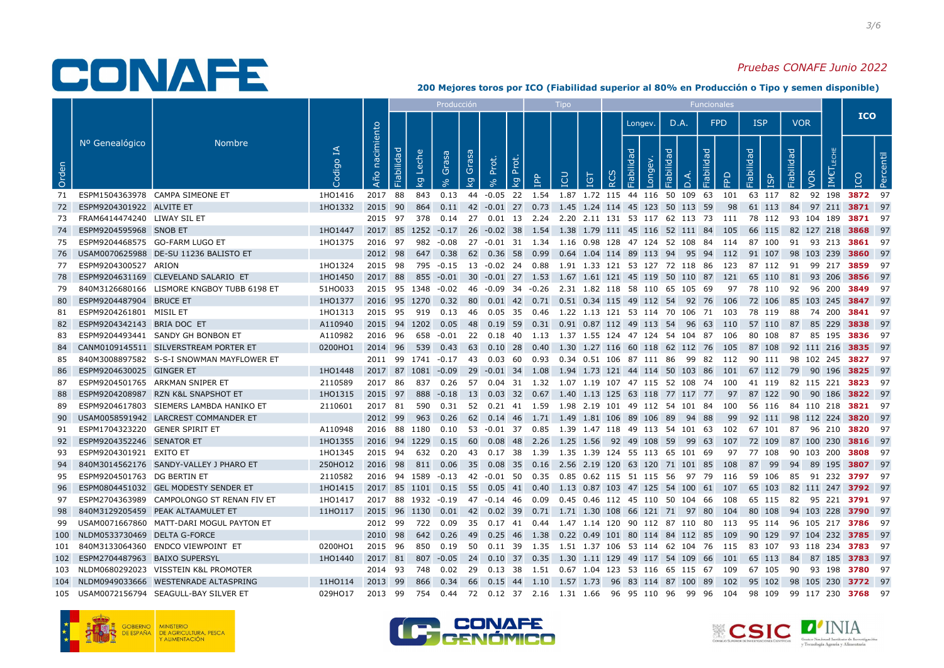### Pruebas CONAFE Junio 2022

|       |                                    |                                            |                                                                                    |                   |              |                                      | Producción |    |                   |                                                                           | Tipo       |            |          |                          |            |      | <b>Funcionales</b> |    |                                                                                                                |            |            |                           |
|-------|------------------------------------|--------------------------------------------|------------------------------------------------------------------------------------|-------------------|--------------|--------------------------------------|------------|----|-------------------|---------------------------------------------------------------------------|------------|------------|----------|--------------------------|------------|------|--------------------|----|----------------------------------------------------------------------------------------------------------------|------------|------------|---------------------------|
|       |                                    |                                            |                                                                                    |                   |              |                                      |            |    |                   |                                                                           |            |            |          | Longev.                  |            | D.A. | <b>FPD</b>         |    | <b>ISP</b>                                                                                                     | <b>VOR</b> |            | <b>ICO</b>                |
| Orden | Nº Genealógico                     | <b>Nombre</b>                              | 모<br>odigo                                                                         | nacimiento<br>Año | Fiabilidad   | Leche<br>ese<br>Ğ.<br>$\overline{g}$ | Grasa      | kg | Prot.<br>kg Prot. | $\mathbf{f}$                                                              | <b>POI</b> | <b>IGT</b> | $\alpha$ | Fiabilidad<br><b>Buo</b> | Fiabilidad |      | Fiabilidad<br>읍    |    | Fiabilidad<br>G)                                                                                               | Fiabilidad | VOR<br>IM€ | Percentil                 |
|       | 71 ESPM1504363978 CAMPA SIMEONE ET |                                            | 1HO1416                                                                            | 2017 88           |              |                                      |            |    |                   |                                                                           |            |            |          |                          |            |      |                    |    | 843  0.13  44  -0.05  22  1.54  1.87  1.72  115  44  116  50  109  63  101  63  117                            |            |            | 82 92 198 <b>3872</b> 97  |
| -72   | ESPM9204301922 ALVITE ET           |                                            | 1HO1332                                                                            | 2015 90           |              |                                      |            |    |                   | 864 0.11 42 -0.01 27 0.73 1.45 1.24 114 45 123 50 113 59                  |            |            |          |                          |            |      |                    | 98 | 61 113                                                                                                         |            |            | 84 97 211 3871 97         |
| 73    | FRAM6414474240 LIWAY SIL ET        |                                            |                                                                                    |                   |              |                                      |            |    |                   |                                                                           |            |            |          |                          |            |      |                    |    | 2015 97 378 0.14 27 0.01 13 2.24 2.20 2.11 131 53 117 62 113 73 111 78 112 93 104 189 3871 97                  |            |            |                           |
| 74    | ESPM9204595968 SNOB ET             |                                            | 1HO1447                                                                            |                   |              |                                      |            |    |                   | 2017 85 1252 -0.17 26 -0.02 38 1.54 1.38 1.79 111 45 116 52 111 84 105    |            |            |          |                          |            |      |                    |    | 66 115                                                                                                         |            |            | 82 127 218 3868 97        |
| 75    | ESPM9204468575 GO-FARM LUGO ET     |                                            | 1HO1375                                                                            |                   |              |                                      |            |    |                   |                                                                           |            |            |          |                          |            |      |                    |    | 2016 97 982 -0.08 27 -0.01 31 1.34 1.16 0.98 128 47 124 52 108 84 114 87 100 91 93 213 <b>3861</b> 97          |            |            |                           |
| 76    |                                    | USAM0070625988 DE-SU 11236 BALISTO ET      |                                                                                    | 2012 98           |              |                                      |            |    |                   |                                                                           |            |            |          |                          |            |      |                    |    | 647 0.38 62 0.36 58 0.99 0.64 1.04 114 89 113 94  95 94  112  91 107  98 103 239 <b>3860</b> 97                |            |            |                           |
| 77    | ESPM9204300527 ARION               |                                            | 1HO1324                                                                            |                   |              |                                      |            |    |                   |                                                                           |            |            |          |                          |            |      |                    |    | 2015 98 795 -0.15 13 -0.02 24 0.88 1.91 1.33 121 53 127 72 118 86 123 87 112 91 99 217 <b>3859</b> 97          |            |            |                           |
| 78    |                                    | ESPM9204631169 CLEVELAND SALARIO ET        | 1HO1450                                                                            |                   |              |                                      |            |    |                   |                                                                           |            |            |          |                          |            |      |                    |    | 2017 88 855 -0.01 30 -0.01 27 1.53 1.67 1.61 121 45 119 50 110 87 121 65 110                                   |            | 81 93 206  | <b>3856</b> 97            |
| -79   |                                    | 840M3126680166 LISMORE KNGBOY TUBB 6198 ET | 51HO033                                                                            |                   |              |                                      |            |    |                   |                                                                           |            |            |          |                          |            |      |                    |    | 2015 95 1348 -0.02 46 -0.09 34 -0.26 2.31 1.82 118 58 110 65 105 69   97   78 110   92   96 200 <b>3849</b> 97 |            |            |                           |
| 80    | ESPM9204487904 BRUCE ET            |                                            | 1H01377                                                                            |                   |              |                                      |            |    |                   | 2016 95 1270 0.32 80 0.01 42 0.71 0.51 0.34 115 49 112 54 92 76 106       |            |            |          |                          |            |      |                    |    | 72 106                                                                                                         |            |            | 85 103 245 <b>3847</b> 97 |
| 81    | ESPM9204261801 MISIL ET            |                                            | 1H01313                                                                            |                   |              |                                      |            |    |                   |                                                                           |            |            |          |                          |            |      |                    |    | 2015 95 919 0.13 46 0.05 35 0.46 1.22 1.13 121 53 114 70 106 71 103 78 119                                     |            | 88 74 200  | <b>3841</b> 97            |
| 82    | ESPM9204342143 BRIA DOC ET         |                                            | A110940                                                                            |                   | 2015 94 1202 |                                      | 0.05       |    |                   | 48  0.19  59  0.31  0.91  0.87  112  49  113  54  96  63  110             |            |            |          |                          |            |      |                    |    | 57 110                                                                                                         | - 87       | 85 229     | <b>3838</b> 97            |
| 83    |                                    | ESPM9204493441 SANDY GH BONBON ET          | A110982                                                                            |                   |              |                                      |            |    |                   |                                                                           |            |            |          |                          |            |      |                    |    | 2016 96 658 -0.01 22 0.18 40 1.13 1.37 1.55 124 47 124 54 104 87 106 80 108                                    |            |            | 87 85 195 3836 97         |
| 84    |                                    | CANM0109145511 SILVERSTREAM PORTER ET      | 0200HO1                                                                            |                   |              |                                      |            |    |                   |                                                                           |            |            |          |                          |            |      |                    |    | 2014 96 539 0.43 63 0.10 28 0.40 1.30 1.27 116 60 118 62 112 76 105 87 108                                     |            |            | 92 111 216 3835 97        |
| 85    |                                    | 840M3008897582 S-S-I SNOWMAN MAYFLOWER ET  |                                                                                    |                   |              |                                      |            |    |                   |                                                                           |            |            |          |                          |            |      |                    |    | 2011 99 1741 -0.17 43 0.03 60 0.93 0.34 0.51 106 87 111 86 99 82 112 90 111 98 102 245 <b>3827</b> 97          |            |            |                           |
| 86    | ESPM9204630025 GINGER ET           |                                            | 1H01448                                                                            |                   |              | 2017 87 1081 -0.09                   |            |    |                   |                                                                           |            |            |          |                          |            |      |                    |    | 29 -0.01 34 1.08 1.94 1.73 121 44 114 50 103 86 101 67 112 79 90 196                                           |            |            | 3825 97                   |
| -87   |                                    | ESPM9204501765 ARKMAN SNIPER ET            | 2110589                                                                            |                   |              |                                      |            |    |                   | 2017 86 837 0.26 57 0.04 31 1.32 1.07 1.19 107 47 115 52 108 74 100       |            |            |          |                          |            |      |                    |    | 41 119                                                                                                         |            |            | 82 115 221 <b>3823</b> 97 |
| 88    |                                    | ESPM9204208987 RZN K&L SNAPSHOT ET         | 1HO1315                                                                            | 2015 97           |              |                                      |            |    |                   |                                                                           |            |            |          |                          |            |      |                    |    | 888 -0.18 13 0.03 32 0.67 1.40 1.13 125 63 118 77 117 77  97  87 122  90  90 186 <b>3822</b> 97                |            |            |                           |
| 89    |                                    | ESPM9204617803 SIEMERS LAMBDA HANIKO ET    | 2110601                                                                            | 2017 81           |              |                                      |            |    |                   | 590  0.31  52  0.21  41  1.59  1.98  2.19  101  49  112  54  101  84  100 |            |            |          |                          |            |      |                    |    | 56 116                                                                                                         |            |            | 84 110 218 <b>3821</b> 97 |
| 90    |                                    | USAM0058591942 LARCREST COMMANDER ET       |                                                                                    | 2012 99           |              |                                      |            |    |                   | 963 0.26 62 0.14 46 1.71 1.49 1.81 106 89 106 89 94 88                    |            |            |          |                          |            |      |                    |    | 99 92 111                                                                                                      |            |            | 98 112 224 3820 97        |
| 91    | ESPM1704323220 GENER SPIRIT ET     |                                            | A110948                                                                            |                   |              |                                      |            |    |                   |                                                                           |            |            |          |                          |            |      |                    |    | 2016 88 1180 0.10 53 -0.01 37 0.85 1.39 1.47 118 49 113 54 101 63 102 67 101                                   |            |            | 87 96 210 <b>3820</b> 97  |
| 92    | ESPM9204352246 SENATOR ET          |                                            | 1HO1355                                                                            |                   |              |                                      |            |    |                   |                                                                           |            |            |          |                          |            |      |                    |    | 2016 94 1229 0.15 60 0.08 48 2.26 1.25 1.56 92 49 108 59 99 63 107 72 109 87 100 230 3816 97                   |            |            |                           |
| 93    | ESPM9204301921 EXITO ET            |                                            | 1HO1345                                                                            |                   |              |                                      |            |    |                   | 2015 94 632 0.20 43 0.17 38 1.39 1.35 1.39 124 55 113 65 101 69           |            |            |          |                          |            |      |                    |    | 97 77 108                                                                                                      |            |            | 90 103 200 3808 97        |
| 94    |                                    | 840M3014562176 SANDY-VALLEY J PHARO ET     | 250HO12                                                                            |                   |              | 2016 98 811 0.06                     |            |    |                   | 35  0.08  35  0.16  2.56  2.19  120  63  120  71  101  85  108            |            |            |          |                          |            |      |                    |    | 87 99                                                                                                          |            |            | 94 89 195 <b>3807</b> 97  |
| 95    | ESPM9204501763 DG BERTIN ET        |                                            | 2110582                                                                            |                   |              |                                      |            |    |                   |                                                                           |            |            |          |                          |            |      |                    |    | 2016 94 1589 -0.13 42 -0.01 50 0.35 0.85 0.62 115 51 115 56 97 79 116 59 106                                   |            |            | 85 91 232 <b>3797</b> 97  |
| 96    |                                    | ESPM0804451032 GEL MODESTY SENDER ET       | 1HO1415                                                                            |                   |              |                                      |            |    |                   |                                                                           |            |            |          |                          |            |      |                    |    | 2017 85 1101 0.15 55 0.05 41 0.40 1.13 0.87 103 47 125 54 100 61 107 65 103 82 111 247 3792 97                 |            |            |                           |
| 97    |                                    | ESPM2704363989 CAMPOLONGO ST RENAN FIV ET  | 1HO1417                                                                            |                   |              |                                      |            |    |                   | 2017 88 1932 -0.19 47 -0.14 46 0.09 0.45 0.46 112 45 110 50 104 66 108    |            |            |          |                          |            |      |                    |    | 65 115                                                                                                         |            |            | 82 95 221 <b>3791</b> 97  |
| 98    |                                    | 840M3129205459 PEAK ALTAAMULET ET          | 11HO117 2015 96 1130 0.01 42 0.02 39 0.71 1.71 1.30 108 66 121 71 97 80 104 80 108 |                   |              |                                      |            |    |                   |                                                                           |            |            |          |                          |            |      |                    |    |                                                                                                                |            |            | 94 103 228 <b>3790</b> 97 |
| 99    |                                    | USAM0071667860 MATT-DARI MOGUL PAYTON ET   |                                                                                    | 2012 99           |              | 722                                  | 0.09       |    |                   |                                                                           |            |            |          |                          |            |      |                    |    | 35   0.17   41   0.44   1.47   1.14   120   90   112   87   110   80   113   95   114                          |            |            | 96 105 217 <b>3786</b> 97 |
|       | 100 NLDM0533730469 DELTA G-FORCE   |                                            |                                                                                    |                   |              |                                      |            |    |                   |                                                                           |            |            |          |                          |            |      |                    |    | 2010 98 642 0.26 49 0.25 46 1.38 0.22 0.49 101 80 114 84 112 85 109 90 129 97 104 232 <b>3785</b> 97           |            |            |                           |
|       |                                    | 101 840M3133064360 ENDCO VIEWPOINT ET      | 0200HO1                                                                            | 2015 96           |              |                                      |            |    |                   |                                                                           |            |            |          |                          |            |      |                    |    | 850 0.19 50 0.11 39  1.35  1.51 1.37 106 53 114 62 104 76  115  83 107  93 118 234 <b>3783</b> 97              |            |            |                           |
|       | 102 ESPM2704487963 BAIXO SUPERSYL  |                                            | 1HO1440                                                                            |                   |              |                                      |            |    |                   |                                                                           |            |            |          |                          |            |      |                    |    | 2017 81 807 -0.05 24 0.10 37 0.35 1.30 1.11 129 49 117 54 109 66 101 65 113                                    |            |            | 84 87 185 <b>3783</b> 97  |
|       |                                    | 103 NLDM0680292023 VISSTEIN K&L PROMOTER   |                                                                                    | 2014 93           |              |                                      |            |    |                   | 748  0.02  29  0.13  38  1.51  0.67  1.04  123  53  116  65  115  67  109 |            |            |          |                          |            |      |                    |    | 67 105                                                                                                         | 90         |            | 93 198 <b>3780</b> 97     |
|       |                                    | 104 NLDM0949033666 WESTENRADE ALTASPRING   | 11HO114                                                                            |                   |              |                                      |            |    |                   |                                                                           |            |            |          |                          |            |      |                    |    | 2013 99  866  0.34  66  0.15 44  1.10  1.57 1.73  96 83 114 87 100 89  102  95 102  98 105 230 <b>3772</b> 97  |            |            |                           |
|       |                                    | 105 USAM0072156794 SEAGULL-BAY SILVER ET   | 029HO17                                                                            |                   |              |                                      |            |    |                   |                                                                           |            |            |          |                          |            |      |                    |    | 2013 99 754 0.44 72 0.12 37 2.16 1.31 1.66 96 95 110 96 99 96 104 98 109 99 117 230 <b>3768</b> 97             |            |            |                           |





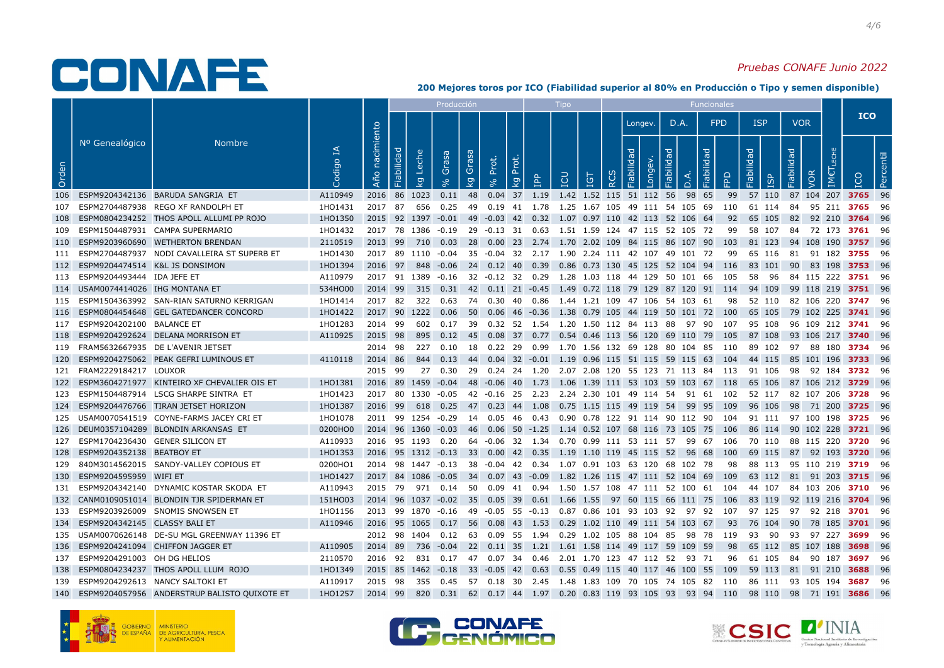### Pruebas CONAFE Junio 2022

|       |                                     |                                                  |             |                   |                    |                         | Producción |                                  |                                                                           |            | Tipo |    |          |            |                         |            | <b>Funcionales</b> |            |                                                                                                        |            |                           |                |           |
|-------|-------------------------------------|--------------------------------------------------|-------------|-------------------|--------------------|-------------------------|------------|----------------------------------|---------------------------------------------------------------------------|------------|------|----|----------|------------|-------------------------|------------|--------------------|------------|--------------------------------------------------------------------------------------------------------|------------|---------------------------|----------------|-----------|
|       |                                     |                                                  |             |                   |                    |                         |            |                                  |                                                                           |            |      |    |          |            | Longev.                 | D.A.       |                    | <b>FPD</b> | <b>ISP</b>                                                                                             | <b>VOR</b> |                           | <b>ICO</b>     |           |
| Orden | Nº Genealógico                      | <b>Nombre</b>                                    | ₹<br>Codigo | nacimiento<br>Año | Fiabilidad         | Leche<br>$\overline{g}$ | Grasa      | Grasa<br>$\overline{\mathsf{g}}$ | Prot.<br>Prot.<br>$\overline{\mathcal{Q}}$<br>$\infty$                    | <b>AdI</b> | LCU  | ig | $\alpha$ | Fiabilidad | ong                     | Fiabilidad | Fiabilidad         | 윤          | Fiabilidad<br><b>1SP</b>                                                                               | Fiabilidad | VOR                       |                | Percentil |
| 106   |                                     | ESPM9204342136 BARUDA SANGRIA ET                 | A110949     |                   | 2016 86 1023       |                         | 0.11       | 48                               | $0.04$ 37 1.19                                                            |            |      |    |          |            | 1.42 1.52 115 51 112 56 | 98         | 65                 | 99         | 57 110                                                                                                 |            | 87 104 207 3765 96        |                |           |
| 107   |                                     | ESPM2704487938 REGO XF RANDOLPH ET               | 1HO1431     | 2017 87           |                    |                         |            |                                  | 656  0.25  49  0.19  41  1.78  1.25  1.67  105  49  111  54  105  69      |            |      |    |          |            |                         |            |                    | 110        | 61 114                                                                                                 |            | 84 95 211 <b>3765</b> 96  |                |           |
| 108   |                                     | ESPM0804234252 THOS APOLL ALLUMI PP ROJO         | 1HO1350     |                   |                    |                         |            |                                  | 2015 92 1397 -0.01 49 -0.03 42 0.32 1.07 0.97 110 42 113 52 106 64        |            |      |    |          |            |                         |            |                    | 92         | 65 105                                                                                                 | 82         | 92 210 3764 96            |                |           |
| 109   |                                     | ESPM1504487931 CAMPA SUPERMARIO                  | 1HO1432     |                   |                    |                         |            |                                  | 2017 78 1386 -0.19 29 -0.13 31 0.63 1.51 1.59 124 47 115 52 105 72        |            |      |    |          |            |                         |            |                    | 99         | 58 107 84 72 173 <b>3761</b> 96                                                                        |            |                           |                |           |
|       |                                     | 110 ESPM9203960690 WETHERTON BRENDAN             | 2110519     | 2013 99           |                    |                         |            |                                  | 710  0.03  28  0.00  23  2.74  1.70  2.02  109  84  115  86  107  90  103 |            |      |    |          |            |                         |            |                    |            | 81 123                                                                                                 |            | 94 108 190 <b>3757</b> 96 |                |           |
|       |                                     | 111 ESPM2704487937 NODI CAVALLEIRA ST SUPERB ET  | 1HO1430     |                   | 2017 89 1110 -0.04 |                         |            |                                  | 35 -0.04 32 2.17 1.90 2.24 111 42 107 49 101 72                           |            |      |    |          |            |                         |            |                    | 99         | 65 116                                                                                                 |            | 81 91 182 <b>3755</b> 96  |                |           |
|       | 112 ESPM9204474514 K&L JS DONSIMON  |                                                  | 1HO1394     |                   |                    |                         |            |                                  | 2016 97 848 -0.06 24 0.12 40 0.39 0.86 0.73 130 45 125 52 104 94 116      |            |      |    |          |            |                         |            |                    |            | 83 101                                                                                                 | - 90       | 83 198 <b>3753</b> 96     |                |           |
|       | 113 ESPM9204493444 IDA JEFE ET      |                                                  | A110979     |                   |                    |                         |            |                                  |                                                                           |            |      |    |          |            |                         |            |                    |            | 2017 91 1389 -0.16 32 -0.12 32 0.29 1.28 1.03 118 44 129 50 101 66 105 58 96                           |            | 84 115 222 <b>3751</b> 96 |                |           |
|       | 114 USAM0074414026 IHG MONTANA ET   |                                                  | 534HO00     | 2014 99           |                    |                         |            |                                  |                                                                           |            |      |    |          |            |                         |            |                    |            | 315  0.31  42  0.11  21  -0.45  1.49  0.72  118  79  129  87  120  91  114  94  109                    |            | 99 118 219 <b>3751</b> 96 |                |           |
|       |                                     | 115 ESPM1504363992 SAN-RIAN SATURNO KERRIGAN     | 1HO1414     |                   | 2017 82 322 0.63   |                         |            |                                  | 74   0.30   40   0.86   1.44   1.21   109   47   106   54   103   61      |            |      |    |          |            |                         |            |                    | 98         | 52 110                                                                                                 |            | 82 106 220 <b>3747</b> 96 |                |           |
|       |                                     | 116 ESPM0804454648 GEL GATEDANCER CONCORD        | 1H01422     |                   | 2017 90 1222       |                         | 0.06       |                                  | 50  0.06  46  -0.36  1.38  0.79  105  44  119  50  101  72  100           |            |      |    |          |            |                         |            |                    |            | 65 105                                                                                                 |            | 79 102 225 3741 96        |                |           |
|       | 117 ESPM9204202100 BALANCE ET       |                                                  | 1HO1283     | 2014 99           |                    |                         |            |                                  | 602 0.17 39 0.32 52 1.54 1.20 1.50 112 84 113 88                          |            |      |    |          |            |                         |            |                    | 97 90 107  | 95 108                                                                                                 |            | 96 109 212 <b>3741</b> 96 |                |           |
|       |                                     | 118 ESPM9204292624 DELANA MORRISON ET            | A110925     | 2015 98           |                    |                         |            |                                  | 895 0.12 45 0.08 37 0.77 0.54 0.46 113 56 120 69 110 79 105               |            |      |    |          |            |                         |            |                    |            | 87 108                                                                                                 |            | 93 106 217 <b>3740</b> 96 |                |           |
|       |                                     | 119 FRAM5632667935 DE L'AVENIR JETSET            |             | 2014 98           |                    |                         | 227   0.10 |                                  | 18  0.22  29  0.99  1.70  1.56  132  69  128  80  104  85  110            |            |      |    |          |            |                         |            |                    |            | 89 102                                                                                                 |            | 97 88 180 <b>3734</b> 96  |                |           |
|       |                                     | 120 ESPM9204275062 PEAK GEFRI LUMINOUS ET        | 4110118     | 2014 86           |                    | 844                     | 0.13       |                                  | 44  0.04  32  -0.01  1.19  0.96  115  51  115  59  115  63  104           |            |      |    |          |            |                         |            |                    |            | 44 115                                                                                                 |            | 85 101 196 3733 96        |                |           |
|       | 121 FRAM2229184217 LOUXOR           |                                                  |             | 2015 99           |                    |                         |            |                                  |                                                                           |            |      |    |          |            |                         |            |                    |            | 27 0.30 29 0.24 24 1.20 2.07 2.08 120 55 123 71 113 84 113 91 106                                      |            | 98 92 184 <b>3732</b> 96  |                |           |
|       |                                     | 122 ESPM3604271977 KINTEIRO XF CHEVALIER OIS ET  | 1H01381     |                   |                    |                         |            |                                  |                                                                           |            |      |    |          |            |                         |            |                    |            | 2016 89 1459 -0.04 48 -0.06 40 1.73 1.06 1.39 111 53 103 59 103 67 118 65 106                          |            | 87 106 212 <b>3729</b> 96 |                |           |
|       |                                     | 123 ESPM1504487914 LSCG SHARPE SINTRA ET         | 1HO1423     |                   |                    |                         |            |                                  | 2017 80 1330 -0.05 42 -0.16 25 2.23 2.24 2.30 101 49 114 54 91 61         |            |      |    |          |            |                         |            |                    | 102        | 52 117                                                                                                 |            | 82 107 206 <b>3728</b> 96 |                |           |
|       |                                     | 124 ESPM9204476766 TIRAN JETSET HORIZON          | 1HO1387     | 2016 99           |                    |                         |            |                                  | 618 0.25 47 0.23 44 1.08 0.75 1.15 115 49 119 54 99 95 109                |            |      |    |          |            |                         |            |                    |            | 96 106                                                                                                 |            | 98 71 200 <b>3725</b> 96  |                |           |
|       |                                     | 125 USAM0070541519 COYNE-FARMS JACEY CRI ET      | 1HO1078     |                   |                    |                         |            |                                  |                                                                           |            |      |    |          |            |                         |            |                    |            | 2011 99 1254 -0.29 14 0.05 46 0.43 0.90 0.78 122 91 114 90 112 90 104 91 111 97 100 198 <b>3725</b> 96 |            |                           |                |           |
|       |                                     | 126 DEUM0357104289 BLONDIN ARKANSAS ET           | 0200HO0     |                   |                    |                         |            |                                  | 2014 96 1360 -0.03 46 0.06 50 -1.25 1.14 0.52 107 68 116 73 105 75 106    |            |      |    |          |            |                         |            |                    |            | 86 114 90 102 228 <b>3721</b> 96                                                                       |            |                           |                |           |
|       | 127 ESPM1704236430 GENER SILICON ET |                                                  | A110933     |                   |                    |                         |            |                                  | 2016 95 1193 0.20 64 -0.06 32 1.34 0.70 0.99 111 53 111 57 99 67 106      |            |      |    |          |            |                         |            |                    |            | 70 110                                                                                                 |            | 88 115 220 <b>3720</b> 96 |                |           |
|       | 128 ESPM9204352138 BEATBOY ET       |                                                  | 1HO1353     |                   |                    |                         |            |                                  | 2016 95 1312 -0.13 33 0.00 42 0.35 1.19 1.10 119 45 115 52                |            |      |    |          |            |                         |            |                    | 96 68 100  | 69 115                                                                                                 |            | 87 92 193 <b>3720</b> 96  |                |           |
|       |                                     | 129 840M3014562015 SANDY-VALLEY COPIOUS ET       | 0200HO1     |                   |                    |                         |            |                                  | 2014 98 1447 -0.13 38 -0.04 42 0.34 1.07 0.91 103 63 120 68 102 78        |            |      |    |          |            |                         |            |                    | 98         | 88 113                                                                                                 |            | 95 110 219 <b>3719</b> 96 |                |           |
|       | 130 ESPM9204595959 WIFI ET          |                                                  | 1H01427     |                   |                    |                         |            |                                  |                                                                           |            |      |    |          |            |                         |            |                    |            | 2017 84 1086 -0.05 34 0.07 43 -0.09 1.82 1.26 115 47 111 52 104 69 109 63 112 81 91 203 3715 96        |            |                           |                |           |
|       |                                     | 131 ESPM9204342140 DYNAMIC KOSTAR SKODA ET       | A110943     |                   |                    |                         |            |                                  |                                                                           |            |      |    |          |            |                         |            |                    |            | 2015 79 971 0.14 50 0.09 41 0.94 1.50 1.57 108 47 111 52 100 61 104 44 107                             |            | 84 103 206 <b>3710</b> 96 |                |           |
|       |                                     | 132 CANM0109051014 BLONDIN TJR SPIDERMAN ET      | 151HO03     |                   |                    |                         |            |                                  |                                                                           |            |      |    |          |            |                         |            |                    |            | 2014 96 1037 -0.02 35 0.05 39 0.61 1.66 1.55 97 60 115 66 111 75 106 83 119                            |            | 92 119 216 <b>3704</b> 96 |                |           |
|       |                                     | 133 ESPM9203926009 SNOMIS SNOWSEN ET             | 1HO1156     |                   |                    |                         |            |                                  | 2013 99 1870 -0.16 49 -0.05 55 -0.13 0.87 0.86 101 93 103 92 97 92 107    |            |      |    |          |            |                         |            |                    |            | 97 125                                                                                                 |            | 97 92 218 <b>3701</b> 96  |                |           |
|       | 134 ESPM9204342145 CLASSY BALI ET   |                                                  | A110946     |                   |                    |                         |            |                                  | 2016 95 1065 0.17 56 0.08 43 1.53 0.29 1.02 110 49 111 54 103 67          |            |      |    |          |            |                         |            |                    |            | 93 76 104                                                                                              |            | 90 78 185 <b>3701</b> 96  |                |           |
|       |                                     | 135 USAM0070626148 DE-SU MGL GREENWAY 11396 ET   |             |                   |                    |                         |            |                                  |                                                                           |            |      |    |          |            |                         |            |                    |            | 2012 98 1404 0.12 63 0.09 55 1.94 0.29 1.02 105 88 104 85 98 78 119 93 90                              |            | 93 97 227 <b>3699</b> 96  |                |           |
|       |                                     | 136 ESPM9204241094 CHIFFON JAGGER ET             | A110905     | 2014 89           |                    |                         |            |                                  | 736 -0.04 22 0.11 35 1.21 1.61 1.58 114 49 117 59 109 59                  |            |      |    |          |            |                         |            |                    | -98        | 65 112                                                                                                 |            | 85 107 188                | <b>3698</b> 96 |           |
|       | 137 ESPM9204291003 OH DG HELIOS     |                                                  | 2110570     | 2016 92           |                    | 831                     |            |                                  | 0.17 47 0.07 34 0.46 2.01 1.70 123 47 112 52 93 71                        |            |      |    |          |            |                         |            |                    | 96         | 61 105                                                                                                 |            | 84 90 187                 | <b>3697</b> 96 |           |
|       |                                     | 138 ESPM0804234237 THOS APOLL LLUM ROJO          | 1HO1349     |                   |                    |                         |            |                                  |                                                                           |            |      |    |          |            |                         |            |                    |            | 2015 85 1462 -0.18 33 -0.05 42 0.63 0.55 0.49 115 40 117 46 100 55 109 59 113                          |            | 81 91 210 3688 96         |                |           |
|       | 139 ESPM9204292613 NANCY SALTOKI ET |                                                  | A110917     | 2015 98           |                    |                         |            |                                  | 355  0.45  57  0.18  30  2.45  1.48  1.83  109  70  105  74  105  82  110 |            |      |    |          |            |                         |            |                    |            | 86 111                                                                                                 |            | 93 105 194 <b>3687</b> 96 |                |           |
|       |                                     | 140 ESPM9204057956 ANDERSTRUP BALISTO QUIXOTE ET | 1HO1257     | 2014 99           |                    |                         |            |                                  |                                                                           |            |      |    |          |            |                         |            |                    |            | 820 0.31 62 0.17 44 1.97 0.20 0.83 119 93 105 93 93 94 110 98 110 98 71 191 <b>3686</b> 96             |            |                           |                |           |







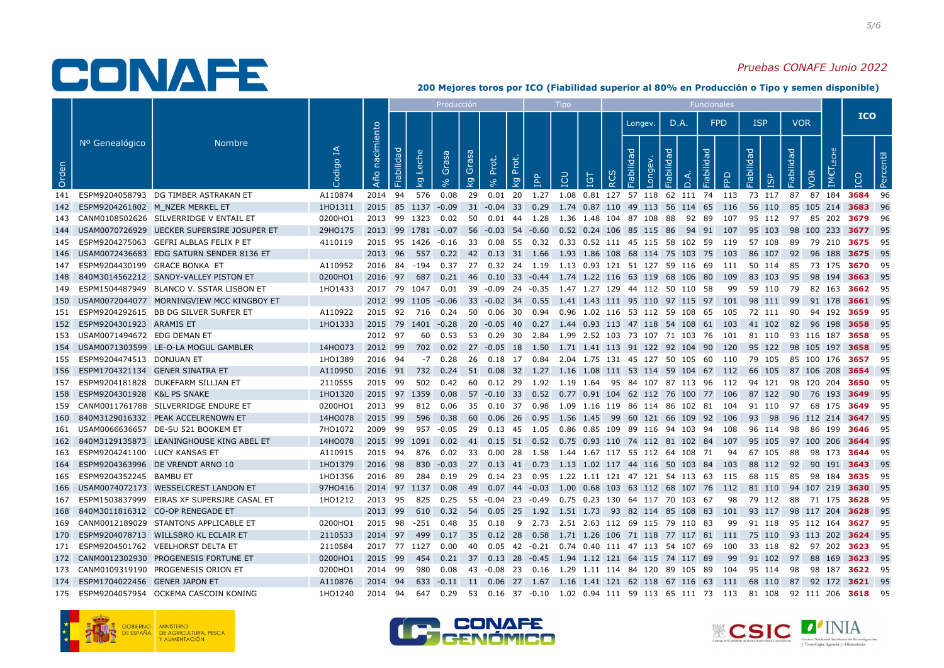#### Pruebas CONAFE Junio 2022

|       |                                     |                                                |            |                   |                                       | Producción         |             |                   |                                                                             | <b>Tipo</b> |            |                  |                                 |            |        | Funcionales |     |                                                                                                                |            |                           |                |           |
|-------|-------------------------------------|------------------------------------------------|------------|-------------------|---------------------------------------|--------------------|-------------|-------------------|-----------------------------------------------------------------------------|-------------|------------|------------------|---------------------------------|------------|--------|-------------|-----|----------------------------------------------------------------------------------------------------------------|------------|---------------------------|----------------|-----------|
|       |                                     |                                                |            |                   |                                       |                    |             |                   |                                                                             |             |            |                  | Longev.                         |            | D.A.   | <b>FPD</b>  |     | <b>ISP</b>                                                                                                     | <b>VOR</b> |                           | <b>ICO</b>     |           |
| Orden | Nº Genealógico                      | <b>Nombre</b>                                  | ₹<br>odipo | nacimiento<br>Año | Fiabilidad<br>Leche<br>$\overline{5}$ | Grasa              | Grasa<br>kg | Prot.<br>$\infty$ | Prot.<br><b>AdI</b><br>kg                                                   | LCU         | <b>IGT</b> | $\tilde{\alpha}$ | Fiabilidad<br>Foug <sub>1</sub> | Fiabilidad | $\cap$ | Fiabilidad  | 윤   | Fiabilidad<br>ISP                                                                                              | Fiabilidad | VOR                       |                | Percentil |
|       |                                     | 141 ESPM9204058793 DG TIMBER ASTRAKAN ET       | A110874    | 2014 94           |                                       | 576  0.08          |             |                   | 29  0.01  20  1.27  1.08  0.81  127  57  118  62  111  74  113  73  117     |             |            |                  |                                 |            |        |             |     |                                                                                                                | 87         | 87 184 3684 96            |                |           |
|       |                                     | 142 ESPM9204261802 M NZER MERKEL ET            | 1H01311    |                   |                                       |                    |             |                   | 2015 85 1137 -0.09 31 -0.04 33 0.29 1.74 0.87 110 49 113 56 114 65 116      |             |            |                  |                                 |            |        |             |     | 56 110                                                                                                         |            | 85 105 214 <b>3683</b> 96 |                |           |
| 143   |                                     | CANM0108502626 SILVERRIDGE V ENTAIL ET         | 0200HO1    |                   |                                       | 2013 99 1323 0.02  |             |                   | 50  0.01  44  1.28  1.36  1.48  104  87  108  88                            |             |            |                  |                                 |            | 92 89  |             | 107 | 95 112                                                                                                         | - 97       | 85 202 <b>3679</b> 96     |                |           |
|       |                                     | 144 USAM0070726929 UECKER SUPERSIRE JOSUPER ET | 29HO175    |                   |                                       |                    |             |                   | 2013 99 1781 -0.07 56 -0.03 54 -0.60 0.52 0.24 106 85 115 86 94 91 107      |             |            |                  |                                 |            |        |             |     | 95 103                                                                                                         |            | 98 100 233 3677 95        |                |           |
|       |                                     | 145 ESPM9204275063 GEFRI ALBLAS FELIX P ET     | 4110119    |                   |                                       |                    |             |                   |                                                                             |             |            |                  |                                 |            |        |             |     | 2015 95 1426 -0.16 33 0.08 55 0.32 0.33 0.52 111 45 115 58 102 59 119 57 108 89 79 210 3675 95                 |            |                           |                |           |
|       |                                     | 146 USAM0072436683 EDG SATURN SENDER 8136 ET   |            |                   |                                       |                    |             |                   | 2013 96 557 0.22 42 0.13 31 1.66 1.93 1.86 108 68 114 75 103 75 103         |             |            |                  |                                 |            |        |             |     | 86 107 92 96 188 <b>3675</b> 95                                                                                |            |                           |                |           |
|       | 147 ESPM9204430199 GRACE BONKA ET   |                                                | A110952    |                   |                                       |                    |             |                   |                                                                             |             |            |                  |                                 |            |        |             |     | 2016 84 -194 0.37 27 0.32 24 1.19 1.13 0.93 121 51 127 59 116 69 111 50 114 85                                 |            | 73 175 <b>3670</b> 95     |                |           |
|       |                                     | 148 840M3014562212 SANDY-VALLEY PISTON ET      | 0200HO1    |                   |                                       | 2016 97 687 0.21   |             |                   | 46  0.10  33  -0.44  1.74  1.22  116  63  119  68  106  80  109             |             |            |                  |                                 |            |        |             |     | 83 103                                                                                                         |            | 95 98 194 <b>3663</b> 95  |                |           |
|       |                                     | 149 ESPM1504487949 BLANCO V. SSTAR LISBON ET   | 1HO1433    |                   |                                       |                    |             |                   |                                                                             |             |            |                  |                                 |            |        |             |     | 2017 79 1047 0.01 39 -0.09 24 -0.35 1.47 1.27 129 44 112 50 110 58 99 59 110 79 82 163 <b>3662</b> 95          |            |                           |                |           |
|       |                                     | 150 USAM0072044077 MORNINGVIEW MCC KINGBOY ET  |            |                   |                                       | 2012 99 1105 -0.06 |             |                   |                                                                             |             |            |                  |                                 |            |        |             |     | 33 -0.02 34 0.55 1.41 1.43 111 95 110 97 115 97 101 98 111                                                     |            | 99 91 178 <b>3661</b> 95  |                |           |
|       |                                     | 151 ESPM9204292615 BB DG SILVER SURFER ET      | A110922    |                   |                                       |                    |             |                   |                                                                             |             |            |                  |                                 |            |        |             |     | 2015 92 716 0.24 50 0.06 30 0.94 0.96 1.02 116 53 112 59 108 65 105 72 111 90                                  |            | 94 192 3659 95            |                |           |
|       | 152 ESPM9204301923 ARAMIS ET        |                                                | 1HO1333    |                   |                                       | 2015 79 1401 -0.28 |             |                   | 20 -0.05 40 0.27 1.44 0.93 113 47 118 54 108 61 103                         |             |            |                  |                                 |            |        |             |     | 41 102                                                                                                         | - 82       | 96 198                    | <b>3658</b> 95 |           |
|       | 153 USAM0071494672 EDG DEMAN ET     |                                                |            | 2012 97           |                                       |                    |             |                   |                                                                             |             |            |                  |                                 |            |        |             |     | 60  0.53  53  0.29  30  2.84  1.99  2.52  103  73  107  71  103  76  101  81  110  93  116  187 <b>3658</b> 95 |            |                           |                |           |
|       |                                     | 154 USAM0071303599 LE-O-LA MOGUL GAMBLER       | 14HO073    |                   |                                       |                    |             |                   |                                                                             |             |            |                  |                                 |            |        |             |     | 2012 99 702 0.02 27 -0.05 18 1.50 1.71 1.41 113 91 122 92 104 90 120 95 122 98 105 197 <b>3658</b> 95          |            |                           |                |           |
|       | 155 ESPM9204474513 DONJUAN ET       |                                                | 1HO1389    | 2016 94           |                                       |                    |             |                   |                                                                             |             |            |                  |                                 |            |        |             |     | -7  0.28  26  0.18  17  0.84  2.04  1.75  131  45  127  50  105  60  110  79  105                              |            | 85 100 176 <b>3657</b> 95 |                |           |
|       | 156 ESPM1704321134 GENER SINATRA ET |                                                | A110950    |                   | 2016 91 732                           |                    |             |                   | 0.24 51 0.08 32 1.27 1.16 1.08 111 53 114 59 104 67 112 66 105              |             |            |                  |                                 |            |        |             |     |                                                                                                                |            | 87 106 208                | 3654 95        |           |
| 157   |                                     | ESPM9204181828 DUKEFARM SILLIAN ET             | 2110555    |                   |                                       |                    |             |                   |                                                                             |             |            |                  |                                 |            |        |             |     | 2015 99 502 0.42 60 0.12 29 1.92 1.19 1.64 95 84 107 87 113 96 112 94 121 98 120 204 3650 95                   |            |                           |                |           |
|       | 158 ESPM9204301928 K&L PS SNAKE     |                                                | 1HO1320    |                   |                                       |                    |             |                   | 2015 97 1359 0.08 57 -0.10 33 0.52 0.77 0.91 104 62 112 76 100 77 106       |             |            |                  |                                 |            |        |             |     | 87 122                                                                                                         | 90         | 76 193 <b>3649</b> 95     |                |           |
|       |                                     | 159 CANM0011761788 SILVERRIDGE ENDURE ET       | 0200HO1    | 2013 99           |                                       |                    |             |                   |                                                                             |             |            |                  |                                 |            |        |             |     | 812  0.06  35  0.10  37  0.98  1.09  1.16  119  86  114  86  102  81  104  91  110                             |            | 97 68 175 <b>3649</b> 95  |                |           |
|       |                                     | 160 840M3129016332 PEAK ACCELRENOWN ET         | 14HO078    | 2015 99           |                                       | 596<br>0.38        |             |                   | 60  0.06  26  0.95  1.56  1.45  99  60  121  66  109  92  106               |             |            |                  |                                 |            |        |             |     | 93 98                                                                                                          |            | 96 112 214 3647 95        |                |           |
|       |                                     | 161 USAM0066636657 DE-SU 521 BOOKEM ET         | 7HO1072    | 2009 99           |                                       |                    |             |                   |                                                                             |             |            |                  |                                 |            |        |             |     | 957 -0.05 29 0.13 45 1.05 0.86 0.85 109 89 116 94 103 94 108 96 114 98 86 199 <b>3646</b> 95                   |            |                           |                |           |
|       |                                     | 162 840M3129135873 LEANINGHOUSE KING ABEL ET   | 14HO078    |                   |                                       |                    |             |                   | 2015 99 1091 0.02 41 0.15 51 0.52 0.75 0.93 110 74 112 81 102 84 107 95 105 |             |            |                  |                                 |            |        |             |     |                                                                                                                |            | 97 100 206 <b>3644</b> 95 |                |           |
| 163   | ESPM9204241100 LUCY KANSAS ET       |                                                | A110915    |                   |                                       |                    |             |                   | 2015 94 876 0.02 33 0.00 28 1.58 1.44 1.67 117 55 112 64 108 71             |             |            |                  |                                 |            |        |             |     | 94 67 105                                                                                                      | 88         | 98 173 <b>3644</b> 95     |                |           |
| 164   |                                     | ESPM9204363996 DE VRENDT ARNO 10               | 1HO1379    | 2016 98           |                                       | 830 -0.03          |             |                   | 27  0.13  41  0.73  1.13  1.02  117  44  116  50  103  84  103              |             |            |                  |                                 |            |        |             |     | 88 112                                                                                                         | 92         | 90 191 3643 95            |                |           |
| 165   | ESPM9204352245 BAMBU ET             |                                                | 1HO1356    | 2016 89           |                                       |                    |             |                   |                                                                             |             |            |                  |                                 |            |        |             |     | 284  0.19  29  0.14  23  0.95  1.22  1.11  121  47  121  54  113  63  115  68  115                             |            | 85 98 184 3635 95         |                |           |
|       |                                     | 166 USAM0074072173 WESSELCREST LANDON ET       | 97HO416    |                   |                                       | 2014 97 1137 0.08  |             |                   |                                                                             |             |            |                  |                                 |            |        |             |     | 49 0.07 44 -0.03 1.00 0.68 103 63 112 68 107 76 112 81 110                                                     |            | 94 107 219 <b>3630</b> 95 |                |           |
|       |                                     | 167 ESPM1503837999 EIRAS XF SUPERSIRE CASAL ET | 1HO1212    |                   |                                       |                    |             |                   | 2013 95 825 0.25 55 -0.04 23 -0.49 0.75 0.23 130 64 117 70 103 67           |             |            |                  |                                 |            |        |             |     | 98 79 112 88 71 175 <b>3628</b> 95                                                                             |            |                           |                |           |
|       |                                     | 168 840M3011816312 CO-OP RENEGADE ET           |            | 2013 99           |                                       | 0.32<br>610        |             |                   | 54 0.05 25 1.92 1.51 1.73 93 82 114 85 108 83 101 93 117                    |             |            |                  |                                 |            |        |             |     |                                                                                                                |            | 98 117 204                | 3628 95        |           |
| 169   |                                     | CANM0012189029 STANTONS APPLICABLE ET          | 0200HO1    | 2015 98           | -251                                  | 0.48               |             |                   | 35 0.18 9 2.73 2.51 2.63 112 69 115 79 110 83                               |             |            |                  |                                 |            |        |             | 99  | 91 118                                                                                                         |            | 95 112 164 <b>3627</b> 95 |                |           |
|       |                                     | 170 ESPM9204078713 WILLSBRO KL ECLAIR ET       | 2110533    |                   | 2014 97 499                           |                    |             |                   | 0.17 35 0.12 28 0.58 1.71 1.26 106 71 118 77 117 81 111 75 110              |             |            |                  |                                 |            |        |             |     |                                                                                                                |            | 93 113 202 3624 95        |                |           |
|       |                                     | 171 ESPM9204501762 VEELHORST DELTA ET          | 2110584    |                   |                                       | 2017 77 1127 0.00  |             |                   | 40  0.05  42  -0.21  0.74  0.40  111  47  113  54  107  69  100             |             |            |                  |                                 |            |        |             |     | 33 118                                                                                                         |            | 82 97 202 <b>3623</b> 95  |                |           |
|       |                                     | 172 CANM0012302930 PROGENESIS FORTUNE ET       | 0200HO1    | 2015 99           | - 454                                 | 0.21               |             |                   | 37 0.13 28 -0.45 1.94 1.12 121 64 115 74 117 89                             |             |            |                  |                                 |            |        |             | 99  | 91 102                                                                                                         | 97         | 88 169                    | 3623 95        |           |
|       |                                     | 173 CANM0109319190 PROGENESIS ORION ET         | 0200HO1    | 2014 99           | 980                                   | 0.08               |             |                   | 43 -0.08 23 0.16 1.29 1.11 114 84 120 89 105 89 104                         |             |            |                  |                                 |            |        |             |     | 95 114                                                                                                         | - 98       | 98 187 <b>3622</b> 95     |                |           |
|       | 174 ESPM1704022456 GENER JAPON ET   |                                                | A110876    | 2014 94           |                                       |                    |             |                   |                                                                             |             |            |                  |                                 |            |        |             |     | 633 -0.11 11 0.06 27 1.67 1.16 1.41 121 62 118 67 116 63 111 68 110                                            |            | 87 92 172 <b>3621</b> 95  |                |           |
|       |                                     | 175 ESPM9204057954 OCKEMA CASCOIN KONING       | 1HO1240    | 2014 94           |                                       |                    |             |                   |                                                                             |             |            |                  |                                 |            |        |             |     | 647 0.29 53 0.16 37 -0.10 1.02 0.94 111 59 113 65 111 73 113 81 108 92 111 206 3618 95                         |            |                           |                |           |